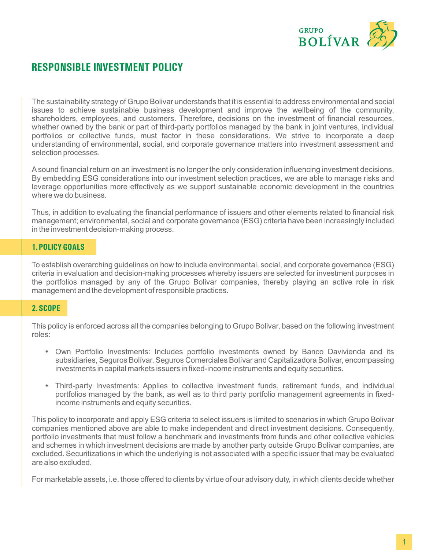

# **RESPONSIBLE INVESTMENT POLICY**

The sustainability strategy of Grupo Bolivar understands that it is essential to address environmental and social issues to achieve sustainable business development and improve the wellbeing of the community, shareholders, employees, and customers. Therefore, decisions on the investment of financial resources, whether owned by the bank or part of third-party portfolios managed by the bank in joint ventures, individual portfolios or collective funds, must factor in these considerations. We strive to incorporate a deep understanding of environmental, social, and corporate governance matters into investment assessment and selection processes.

Asound financial return on an investment is no longer the only consideration influencing investment decisions. By embedding ESG considerations into our investment selection practices, we are able to manage risks and leverage opportunities more effectively as we support sustainable economic development in the countries where we do business.

Thus, in addition to evaluating the financial performance of issuers and other elements related to financial risk management; environmental, social and corporate governance (ESG) criteria have been increasingly included in the investment decision-making process.

## **1. POLICY GOALS**

To establish overarching guidelines on how to include environmental, social, and corporate governance (ESG) criteria in evaluation and decision-making processes whereby issuers are selected for investment purposes in the portfolios managed by any of the Grupo Bolivar companies, thereby playing an active role in risk management and the development of responsible practices.

## **2. SCOPE**

This policy is enforced across all the companies belonging to Grupo Bolivar, based on the following investment roles:

- Own Portfolio Investments: Includes portfolio investments owned by Banco Davivienda and its subsidiaries, Seguros Bolívar, Seguros Comerciales Bolívar and Capitalizadora Bolívar, encompassing investments in capital markets issuers in fixed-income instruments and equity securities.
- Third-party Investments: Applies to collective investment funds, retirement funds, and individual portfolios managed by the bank, as well as to third party portfolio management agreements in fixedincome instruments and equity securities.

This policy to incorporate and apply ESG criteria to select issuers is limited to scenarios in which Grupo Bolivar companies mentioned above are able to make independent and direct investment decisions. Consequently, portfolio investments that must follow a benchmark and investments from funds and other collective vehicles and schemes in which investment decisions are made by another party outside Grupo Bolivar companies, are excluded. Securitizations in which the underlying is not associated with a specific issuer that may be evaluated are also excluded.

For marketable assets, i.e. those offered to clients by virtue of our advisory duty, in which clients decide whether